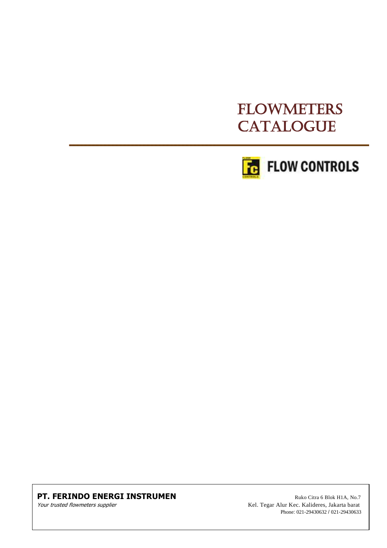# FLOWMETERS **CATALOGUE**



#### **PT. FERINDO ENERGI INSTRUMEN** Ruko Citra 6 Blok H1A, No.7

Your trusted flowmeters supplier Supplier Supplier Alur Kel. Tegar Alur Kec. Kalideres, Jakarta barat Phone: 021-29430632 / 021-29430633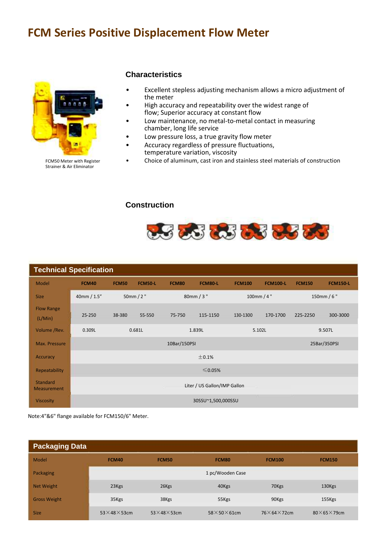# **FCM Series Positive Displacement Flow Meter**



FCM50 Meter with Register Strainer & Air Eliminator

#### **Characteristics**

- Excellent stepless adjusting mechanism allows a micro adjustment of the meter
- High accuracy and repeatability over the widest range of flow; Superior accuracy at constant flow
- Low maintenance, no metal-to-metal contact in measuring chamber, long life service
- Low pressure loss, a true gravity flow meter
- Accuracy regardless of pressure fluctuations, temperature variation, viscosity
- Choice of aluminum, cast iron and stainless steel materials of construction

#### **Construction**



| <b>Technical Specification</b>        |                              |              |                |              |                  |               |                 |               |                 |
|---------------------------------------|------------------------------|--------------|----------------|--------------|------------------|---------------|-----------------|---------------|-----------------|
| Model                                 | <b>FCM40</b>                 | <b>FCM50</b> | <b>FCM50-L</b> | <b>FCM80</b> | FCM80-L          | <b>FCM100</b> | <b>FCM100-L</b> | <b>FCM150</b> | <b>FCM150-L</b> |
| <b>Size</b>                           | 40mm / 1.5"                  |              | 50mm/2"        |              | 80mm / 3"        |               | 100mm / 4"      |               | 150mm / $6"$    |
| <b>Flow Range</b><br>(L/Min)          | 25-250                       | 38-380       | 55-550         | 75-750       | 115-1150         | 130-1300      | 170-1700        | 225-2250      | 300-3000        |
| Volume / Rev.                         | 0.681L<br>0.309L             |              |                |              | 5.102L<br>1.839L |               | 9.507L          |               |                 |
| Max. Pressure                         | 10Bar/150PSI<br>25Bar/350PSI |              |                |              |                  |               |                 |               |                 |
| Accuracy                              | ±0.1%                        |              |                |              |                  |               |                 |               |                 |
| Repeatability                         | $≤$ 0.05%                    |              |                |              |                  |               |                 |               |                 |
| <b>Standard</b><br><b>Measurement</b> | Liter / US Gallon/IMP Gallon |              |                |              |                  |               |                 |               |                 |
| <b>Viscosity</b>                      | 30SSU~1,500,000SSU           |              |                |              |                  |               |                 |               |                 |

Note:4"&6" flange available for FCM150/6" Meter.

| <b>Packaging Data</b> |                             |                             |                         |                           |                           |
|-----------------------|-----------------------------|-----------------------------|-------------------------|---------------------------|---------------------------|
| Model                 | FCM40                       | <b>FCM50</b>                | FCM80                   | <b>FCM100</b>             | <b>FCM150</b>             |
| Packaging             |                             |                             | 1 pc/Wooden Case        |                           |                           |
| <b>Net Weight</b>     | 23Kgs                       | 26Kgs                       | 40Kgs                   | 70Kgs                     | 130Kgs                    |
| <b>Gross Weight</b>   | 35Kgs                       | 38Kgs                       | 55Kgs                   | 90Kgs                     | 155Kgs                    |
| <b>Size</b>           | $53\times$ 48 $\times$ 53cm | $53\times$ 48 $\times$ 53cm | $58\times50\times61$ cm | $76\times 64\times 72$ cm | $80\times 65\times 79$ cm |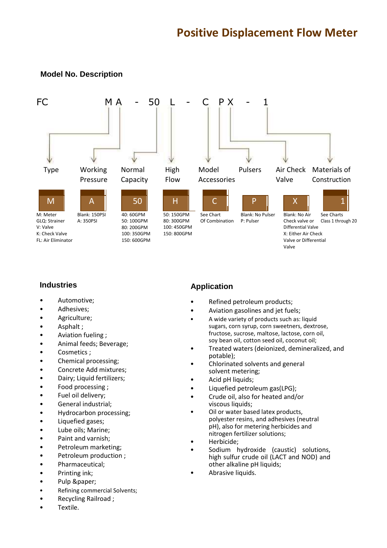#### **Model No. Description**



#### **Industries**

- Automotive;
- Adhesives;
- Agriculture;
- Asphalt ;
- Aviation fueling ;
- Animal feeds; Beverage;
- Cosmetics ;
- Chemical processing;
- Concrete Add mixtures;
- Dairy; Liquid fertilizers;
- Food processing ;
- Fuel oil delivery;
- General industrial;
- Hydrocarbon processing;
- Liquefied gases;
- Lube oils; Marine;
- Paint and varnish;
- Petroleum marketing;
- Petroleum production;
- Pharmaceutical;
- Printing ink;
- Pulp &paper;
- Refining commercial Solvents;
- Recycling Railroad ;
- Textile.

#### **Application**

- Refined petroleum products;
- Aviation gasolines and jet fuels;
- A wide variety of products such as: liquid sugars, corn syrup, corn sweetners, dextrose, fructose, sucrose, maltose, lactose, corn oil, soy bean oil, cotton seed oil, coconut oil;
- Treated waters (deionized, demineralized, and potable);
- Chlorinated solvents and general solvent metering;
- Acid pH liquids;
- Liquefied petroleum gas(LPG);
- Crude oil, also for heated and/or viscous liquids;
- Oil or water based latex products, polyester resins, and adhesives (neutral pH), also for metering herbicides and nitrogen fertilizer solutions;
- Herbicide;
- Sodium hydroxide (caustic) solutions, high sulfur crude oil (LACT and NOD) and other alkaline pH liquids;
- Abrasive liquids.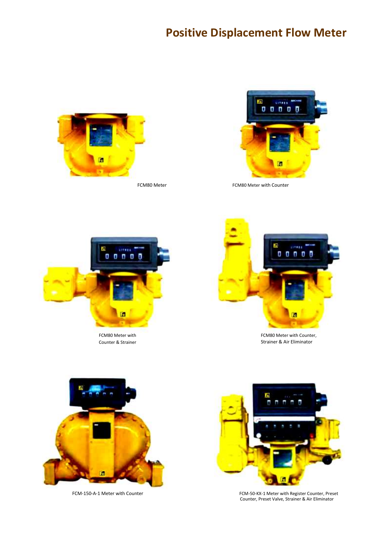# **Positive Displacement Flow Meter**





FCM80 Meter **FCM80 Meter** FCM80 Meter with Counter



FCM80 Meter with Counter & Strainer



FCM80 Meter with Counter, Strainer & Air Eliminator





FCM‐150‐A‐1 Meter with Counter FCM‐50‐KX‐1 Meter with Register Counter, Preset Counter, Preset Valve, Strainer & Air Eliminator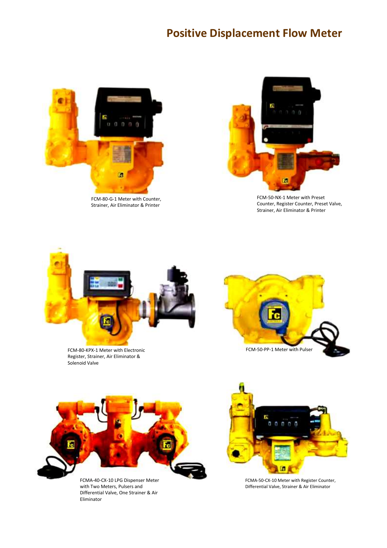# **Positive Displacement Flow Meter**



FCM‐80‐G‐1 Meter with Counter, Strainer, Air Eliminator & Printer



FCM‐50‐NX‐1 Meter with Preset Counter, Register Counter, Preset Valve, Strainer, Air Eliminator & Printer



FCM‐80‐KPX‐1 Meter with Electronic Register, Strainer, Air Eliminator & Solenoid Valve





Differential Valve, One Strainer & Air Eliminator



FCMA-40-CX-10 LPG Dispenser Meter FCMA-50-CX-10 Meter with Register Counter, with Two Meters, Pulsers and FCMA-50-CX-10 Meter with Register Counter, with Two Meters, Pulsers and Differential Valve, Strainer & Air Eliminator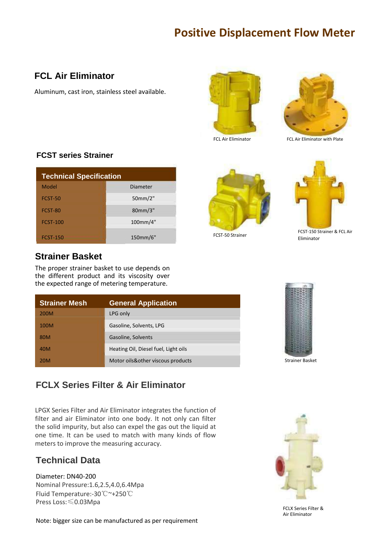# **Positive Displacement Flow Meter**

## **FCL Air Eliminator**

Aluminum, cast iron, stainless steel available.





FCL Air Eliminator FCL Air Eliminator with Plate

# **FCST series Strainer**

| <b>Technical Specification</b> |                 |  |  |
|--------------------------------|-----------------|--|--|
| Model                          | <b>Diameter</b> |  |  |
| FCST-50                        | 50mm/2"         |  |  |
| FCST-80                        | 80mm/3"         |  |  |
| <b>FCST-100</b>                | 100mm/4"        |  |  |
| <b>FCST-150</b>                | 150mm/6"        |  |  |

## **Strainer Basket**

The proper strainer basket to use depends on the different product and its viscosity over the expected range of metering temperature.

| <b>Strainer Mesh</b> | <b>General Application</b>           |
|----------------------|--------------------------------------|
| 200M                 | LPG only                             |
| 100M                 | Gasoline, Solvents, LPG              |
| 80M                  | Gasoline, Solvents                   |
| 40M                  | Heating Oil, Diesel fuel, Light oils |
| 20M                  | Motor oils&other viscous products    |





FCST-150 Strainer & FCL Air Eliminator



Strainer Basket

## **FCLX Series Filter & Air Eliminator**

LPGX Series Filter and Air Eliminator integrates the function of filter and air Eliminator into one body. It not only can filter the solid impurity, but also can expel the gas out the liquid at one time. It can be used to match with many kinds of flow meters to improve the measuring accuracy.

# **Technical Data**

Diameter: DN40‐200 Nominal Pressure:1.6,2.5,4.0,6.4Mpa Fluid Temperature:‐30℃~+250℃ Press Loss:≤0.03Mpa

Note: bigger size can be manufactured as per requirement



FCLX Series Filter & Air Eliminator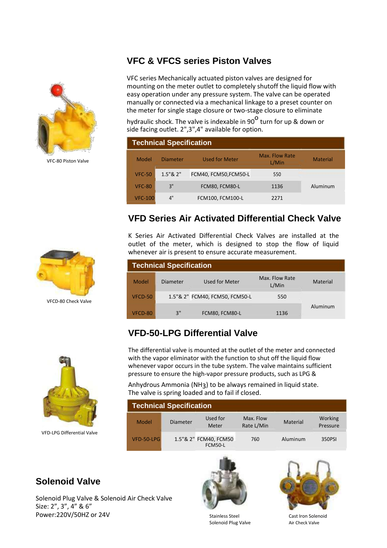## **VFC & VFCS series Piston Valves**



VFC-80 Piston Valve

VFC series Mechanically actuated piston valves are designed for mounting on the meter outlet to completely shutoff the liquid flow with easy operation under any pressure system. The valve can be operated manually or connected via a mechanical linkage to a preset counter on the meter for single stage closure or two-stage closure to eliminate

hydraulic shock. The valve is indexable in 90 $^{\mathsf{O}}$  turn for up & down or side facing outlet. 2",3",4" available for option.

| <b>Technical Specification</b> |                 |                       |                         |                 |  |  |
|--------------------------------|-----------------|-----------------------|-------------------------|-----------------|--|--|
| Model                          | <b>Diameter</b> | <b>Used for Meter</b> | Max. Flow Rate<br>L/Min | <b>Material</b> |  |  |
| <b>VFC-50</b>                  | 1.5"82"         | FCM40, FCM50, FCM50-L | 550                     |                 |  |  |
| <b>VFC-80</b>                  | 3"              | FCM80, FCM80-L        | 1136                    | Aluminum        |  |  |
| <b>VFC-100</b>                 | 4"              | FCM100, FCM100-L      | 2271                    |                 |  |  |

## **VFD Series Air Activated Differential Check Valve**

K Series Air Activated Differential Check Valves are installed at the outlet of the meter, which is designed to stop the flow of liquid whenever air is present to ensure accurate measurement.

| <b>Technical Specification</b> |          |                                |                         |          |  |  |
|--------------------------------|----------|--------------------------------|-------------------------|----------|--|--|
| Model                          | Diameter | Used for Meter                 | Max. Flow Rate<br>L/Min | Material |  |  |
| VFCD-50                        |          | 1.5"& 2" FCM40, FCM50, FCM50-L | 550                     |          |  |  |
| VFCD-80                        | 3"       | FCM80, FCM80-L                 | 1136                    | Aluminum |  |  |

## **VFD-50-LPG Differential Valve**



VFD‐LPG Differential Valve

The differential valve is mounted at the outlet of the meter and connected with the vapor eliminator with the function to shut off the liquid flow whenever vapor occurs in the tube system. The valve maintains sufficient pressure to ensure the high‐vapor pressure products, such as LPG &

Anhydrous Ammonia (NH3) to be always remained in liquid state. The valve is spring loaded and to fail if closed.

| <b>Technical Specification</b> |                 |                                         |                         |          |                     |
|--------------------------------|-----------------|-----------------------------------------|-------------------------|----------|---------------------|
| Model                          | <b>Diameter</b> | Used for<br>Meter                       | Max. Flow<br>Rate L/Min | Material | Working<br>Pressure |
| VFD-50-LPG                     |                 | 1.5"& 2" FCM40, FCM50<br><b>FCM50-L</b> | 760                     | Aluminum | 350PSI              |

## **Solenoid Valve**

Solenoid Plug Valve & Solenoid Air Check Valve Size: 2", 3", 4" & 6" Power:220V/50HZ or 24V and the Stainless Steel Cast Iron Solenoid<br>Solenoid Plug Valve and Cast Ircheck Valve





Solenoid Plug Valve



VFCD‐80 Check Valve